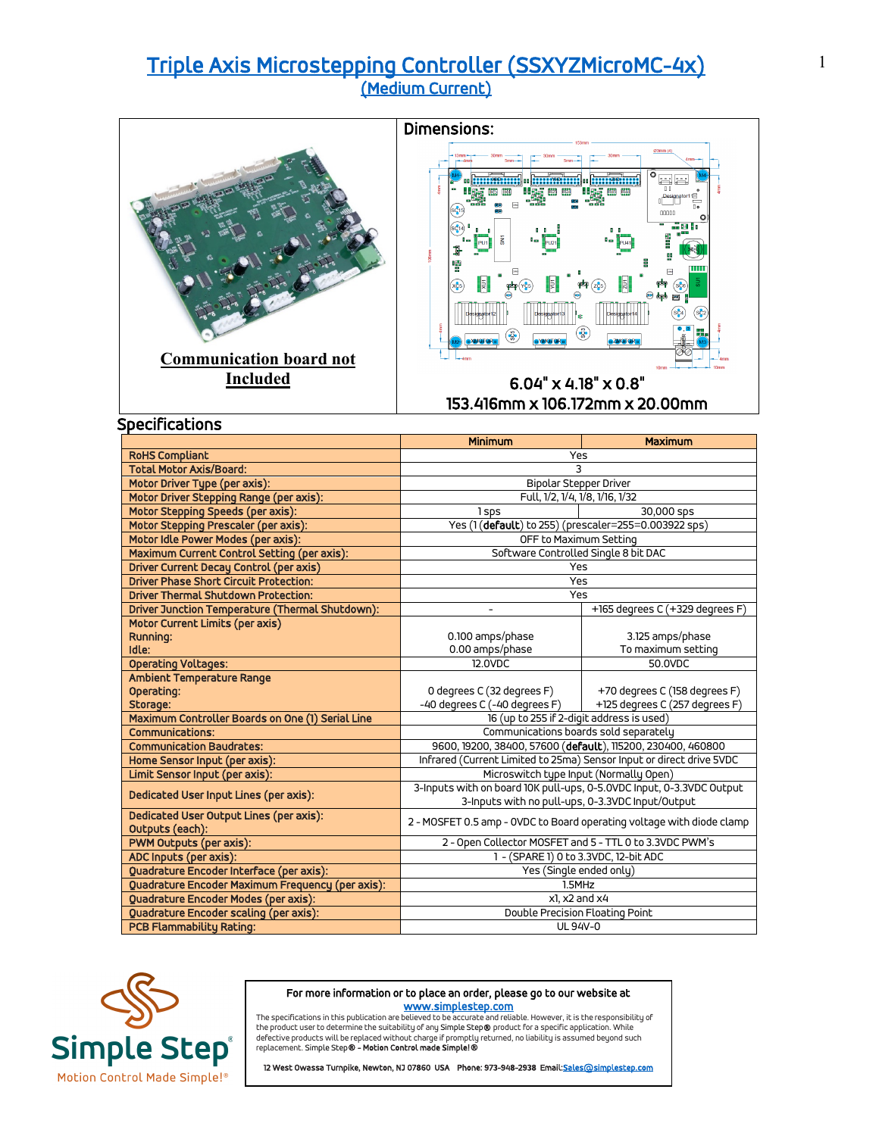# [Triple Axis Microstepping Controller \(SSXYZMicroMC-4x\) \(Medium Current\)](https://simplestep.com/product/ssxyzmicromc/)





153.416mm x 106.172mm x 20.00mm

| Specifications                                   | <b>Minimum</b>                                                        | Maximum                                                 |  |
|--------------------------------------------------|-----------------------------------------------------------------------|---------------------------------------------------------|--|
| <b>RoHS Compliant</b>                            | Yes                                                                   |                                                         |  |
| <b>Total Motor Axis/Board:</b>                   | 3                                                                     |                                                         |  |
| Motor Driver Type (per axis):                    | Bipolar Stepper Driver                                                |                                                         |  |
| Motor Driver Stepping Range (per axis):          | Full, 1/2, 1/4, 1/8, 1/16, 1/32                                       |                                                         |  |
| Motor Stepping Speeds (per axis):                | 1 sps                                                                 | 30,000 sps                                              |  |
| Motor Stepping Prescaler (per axis):             | Yes (1(default) to 255) (prescaler=255=0.003922 sps)                  |                                                         |  |
| Motor Idle Power Modes (per axis):               | OFF to Maximum Setting                                                |                                                         |  |
| Maximum Current Control Setting (per axis):      | Software Controlled Single 8 bit DAC                                  |                                                         |  |
| <b>Driver Current Decay Control (per axis)</b>   | Yes                                                                   |                                                         |  |
| <b>Driver Phase Short Circuit Protection:</b>    | Yes                                                                   |                                                         |  |
| <b>Driver Thermal Shutdown Protection:</b>       | Yes                                                                   |                                                         |  |
| Driver Junction Temperature (Thermal Shutdown):  |                                                                       | +165 degrees C (+329 degrees F)                         |  |
| Motor Current Limits (per axis)                  |                                                                       |                                                         |  |
| Running:                                         | 0.100 amps/phase                                                      | 3.125 amps/phase                                        |  |
| Idle:                                            | 0.00 amps/phase                                                       | To maximum setting                                      |  |
| <b>Operating Voltages:</b>                       | 12.0VDC                                                               | 50.0VDC                                                 |  |
| Ambient Temperature Range                        |                                                                       |                                                         |  |
| Operating:                                       | 0 degrees C (32 degrees F)                                            | +70 degrees C (158 degrees F)                           |  |
| Storage:                                         | -40 degrees C (-40 degrees F)                                         | +125 degrees C (257 degrees F)                          |  |
| Maximum Controller Boards on One (1) Serial Line | 16 (up to 255 if 2-digit address is used)                             |                                                         |  |
| <b>Communications:</b>                           | Communications boards sold separately                                 |                                                         |  |
| <b>Communication Baudrates:</b>                  | 9600, 19200, 38400, 57600 (default), 115200, 230400, 460800           |                                                         |  |
| Home Sensor Input (per axis):                    | Infrared (Current Limited to 25ma) Sensor Input or direct drive 5VDC  |                                                         |  |
| Limit Sensor Input (per axis):                   | Microswitch type Input (Normally Open)                                |                                                         |  |
| Dedicated User Input Lines (per axis):           | 3-Inputs with on board 10K pull-ups, 0-5.0VDC Input, 0-3.3VDC Output  |                                                         |  |
|                                                  | 3-Inputs with no pull-ups, 0-3.3VDC Input/Output                      |                                                         |  |
| Dedicated User Output Lines (per axis):          | 2 - MOSFET 0.5 amp - OVDC to Board operating voltage with diode clamp |                                                         |  |
| Outputs (each):                                  |                                                                       |                                                         |  |
| PWM Outputs (per axis):                          |                                                                       | 2 - Open Collector MOSFET and 5 - TTL 0 to 3.3VDC PWM's |  |
| ADC Inputs (per axis):                           | 1 - (SPARE 1) 0 to 3.3VDC, 12-bit ADC                                 |                                                         |  |
| Quadrature Encoder Interface (per axis):         | Yes (Single ended only)                                               |                                                         |  |
| Quadrature Encoder Maximum Frequency (per axis): | 1.5MHz                                                                |                                                         |  |
| Quadrature Encoder Modes (per axis):             | x1. x2 and x4                                                         |                                                         |  |
| Quadrature Encoder scaling (per axis):           | Double Precision Floating Point                                       |                                                         |  |
| <b>PCB Flammability Rating:</b>                  | UL 94V-0                                                              |                                                         |  |



### For more information or to place an order, please go to our website at

www.s<mark>implestep.com</mark><br>The specifications in this publication are believed to be accurate and reliable. However, it is the responsibility of<br>the product user to determine the suitability of any Simple Step**®** product for a s replacement. Simple Step® - Motion Control made Simple!®

12 West Owassa Turnpike, Newton, NJ 07860 USA Phone: 973-948-2938 Email: Sales@simplestep.com